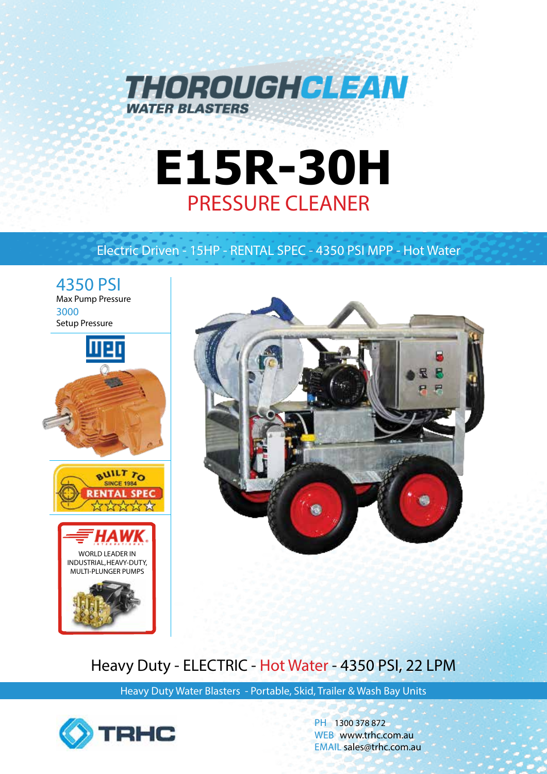

# **E15R-30H** PRESSURE CLEANER

### Electric Driven - 15HP - RENTAL SPEC - 4350 PSI MPP - Hot Water





## Heavy Duty - ELECTRIC - Hot Water - 4350 PSI, 22 LPM

Heavy Duty Water Blasters - Portable, Skid, Trailer & Wash Bay Units



PH 1300 378 872 WEB www.trhc.com.au EMAIL sales@trhc.com.au